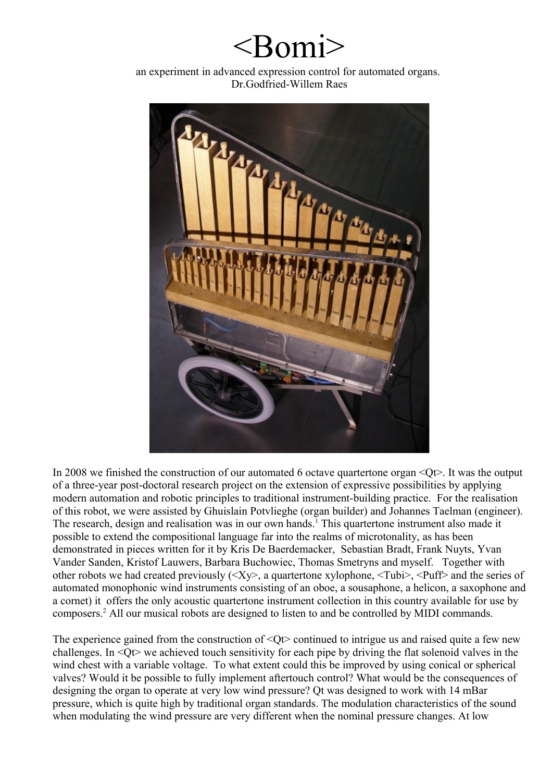## $\langle$ Romi $\rangle$

an experiment in advanced expression control for automated organs. Dr.Godfried-Willem Raes



In 2008 we finished the construction of our automated 6 octave quartertone organ  $\leq Ot$ . It was the output of a three-year post-doctoral research project on the extension of expressive possibilities by applying modern automation and robotic principles to traditional instrument-building practice. For the realisation of this robot, we were assisted by Ghuislain Potvlieghe (organ builder) and Johannes Taelman (engineer). The research, design and realisation was in our own hands.<sup>[1](#page-7-0)</sup> This quartertone instrument also made it possible to extend the compositional language far into the realms of microtonality, as has been demonstrated in pieces written for it by Kris De Baerdemacker, Sebastian Bradt, Frank Nuyts, Yvan Vander Sanden, Kristof Lauwers, Barbara Buchowiec, Thomas Smetryns and myself. Together with other robots we had created previously (<Xy>, a quartertone xylophone, <Tubi>, <Puff> and the series of automated monophonic wind instruments consisting of an oboe, a sousaphone, a helicon, a saxophone and a cornet) it offers the only acoustic quartertone instrument collection in this country available for use by composers.<sup>[2](#page-7-1)</sup> All our musical robots are designed to listen to and be controlled by MIDI commands.

The experience gained from the construction of  $\langle \text{Qt} \rangle$  continued to intrigue us and raised quite a few new challenges. In <Qt> we achieved touch sensitivity for each pipe by driving the flat solenoid valves in the wind chest with a variable voltage. To what extent could this be improved by using conical or spherical valves? Would it be possible to fully implement aftertouch control? What would be the consequences of designing the organ to operate at very low wind pressure? Qt was designed to work with 14 mBar pressure, which is quite high by traditional organ standards. The modulation characteristics of the sound when modulating the wind pressure are very different when the nominal pressure changes. At low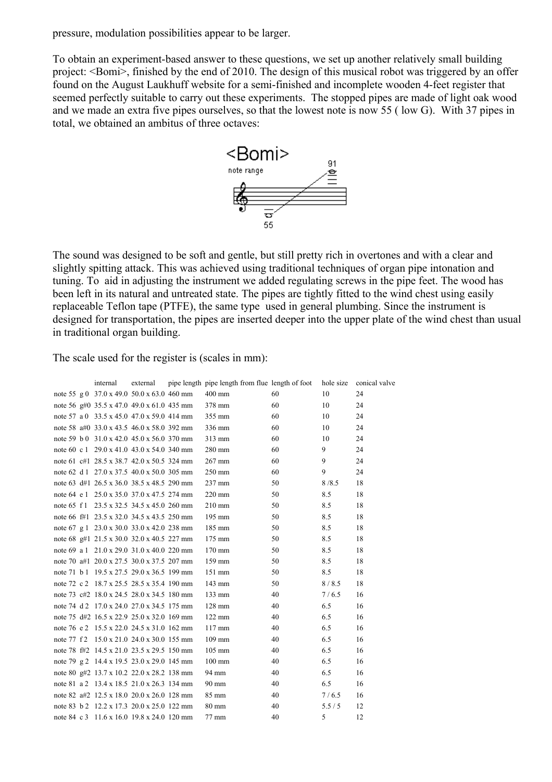pressure, modulation possibilities appear to be larger.

To obtain an experiment-based answer to these questions, we set up another relatively small building project: <Bomi>, finished by the end of 2010. The design of this musical robot was triggered by an offer found on the August Laukhuff website for a semi-finished and incomplete wooden 4-feet register that seemed perfectly suitable to carry out these experiments. The stopped pipes are made of light oak wood and we made an extra five pipes ourselves, so that the lowest note is now 55 ( low G). With 37 pipes in total, we obtained an ambitus of three octaves:



The sound was designed to be soft and gentle, but still pretty rich in overtones and with a clear and slightly spitting attack. This was achieved using traditional techniques of organ pipe intonation and tuning. To aid in adjusting the instrument we added regulating screws in the pipe feet. The wood has been left in its natural and untreated state. The pipes are tightly fitted to the wind chest using easily replaceable Teflon tape (PTFE), the same type used in general plumbing. Since the instrument is designed for transportation, the pipes are inserted deeper into the upper plate of the wind chest than usual in traditional organ building.

The scale used for the register is (scales in mm):

|                                                   | internal | external | pipe length pipe length from flue length of foot |    | hole size | conical valve |
|---------------------------------------------------|----------|----------|--------------------------------------------------|----|-----------|---------------|
| note 55 g 0 $37.0 \times 49.0$ 50.0 x 63.0 460 mm |          |          | 400 mm                                           | 60 | 10        | 24            |
| note 56 g#0 $35.5 \times 47.0$ 49.0 x 61.0 435 mm |          |          | 378 mm                                           | 60 | 10        | 24            |
| note 57 a 0 33.5 x 45.0 47.0 x 59.0 414 mm        |          |          | 355 mm                                           | 60 | 10        | 24            |
| note 58 a#0 33.0 x 43.5 46.0 x 58.0 392 mm        |          |          | 336 mm                                           | 60 | 10        | 24            |
| note 59 b 0 31.0 x 42.0 45.0 x 56.0 370 mm        |          |          | 313 mm                                           | 60 | 10        | 24            |
| note 60 c 1 29.0 x 41.0 43.0 x 54.0 340 mm        |          |          | 280 mm                                           | 60 | 9         | 24            |
| note 61 c#1 28.5 x 38.7 42.0 x 50.5 324 mm        |          |          | 267 mm                                           | 60 | 9         | 24            |
| note 62 d 1 27.0 x 37.5 40.0 x 50.0 305 mm        |          |          | 250 mm                                           | 60 | 9         | 24            |
| note 63 d#1 26.5 x 36.0 38.5 x 48.5 290 mm        |          |          | 237 mm                                           | 50 | 8/8.5     | 18            |
| note 64 e 1 25.0 x 35.0 37.0 x 47.5 274 mm        |          |          | 220 mm                                           | 50 | 8.5       | 18            |
| note 65 f 1 23.5 x 32.5 34.5 x 45.0 260 mm        |          |          | 210 mm                                           | 50 | 8.5       | 18            |
| note 66 f#1 23.5 x 32.0 34.5 x 43.5 250 mm        |          |          | 195 mm                                           | 50 | 8.5       | 18            |
| note 67 g 1 23.0 x 30.0 33.0 x 42.0 238 mm        |          |          | 185 mm                                           | 50 | 8.5       | 18            |
| note 68 g#1 21.5 x 30.0 32.0 x 40.5 227 mm        |          |          | 175 mm                                           | 50 | 8.5       | 18            |
| note 69 a 1 21.0 x 29.0 31.0 x 40.0 220 mm        |          |          | 170 mm                                           | 50 | 8.5       | 18            |
| note 70 a#1 20.0 x 27.5 30.0 x 37.5 207 mm        |          |          | 159 mm                                           | 50 | 8.5       | 18            |
| note 71 b 1 19.5 x 27.5 29.0 x 36.5 199 mm        |          |          | 151 mm                                           | 50 | 8.5       | 18            |
| note 72 c 2 18.7 x 25.5 28.5 x 35.4 190 mm        |          |          | 143 mm                                           | 50 | 8/8.5     | 18            |
| note 73 c#2 18.0 x 24.5 28.0 x 34.5 180 mm        |          |          | 133 mm                                           | 40 | 7/6.5     | 16            |
| note 74 d 2 17.0 x 24.0 27.0 x 34.5 175 mm        |          |          | 128 mm                                           | 40 | 6.5       | 16            |
| note 75 d#2 16.5 x 22.9 25.0 x 32.0 169 mm        |          |          | 122 mm                                           | 40 | 6.5       | 16            |
| note 76 e 2 15.5 x 22.0 24.5 x 31.0 162 mm        |          |          | $117 \text{ mm}$                                 | 40 | 6.5       | 16            |
| note 77 f 2 15.0 x 21.0 24.0 x 30.0 155 mm        |          |          | 109 mm                                           | 40 | 6.5       | 16            |
| note 78 f#2 14.5 x 21.0 23.5 x 29.5 150 mm        |          |          | 105 mm                                           | 40 | 6.5       | 16            |
| note 79 g 2 14.4 x 19.5 23.0 x 29.0 145 mm        |          |          | $100 \text{ mm}$                                 | 40 | 6.5       | 16            |
| note 80 g#2 13.7 x 10.2 22.0 x 28.2 138 mm        |          |          | 94 mm                                            | 40 | 6.5       | 16            |
| note 81 a 2 13.4 x 18.5 21.0 x 26.3 134 mm        |          |          | 90 mm                                            | 40 | 6.5       | 16            |
| note 82 a#2 12.5 x 18.0 20.0 x 26.0 128 mm        |          |          | 85 mm                                            | 40 | 7/6.5     | 16            |
| note 83 b 2 12.2 x 17.3 20.0 x 25.0 122 mm        |          |          | $80 \text{ mm}$                                  | 40 | 5.5/5     | 12            |
| note 84 c 3 11.6 x 16.0 19.8 x 24.0 120 mm        |          |          | 77 mm                                            | 40 | 5         | 12            |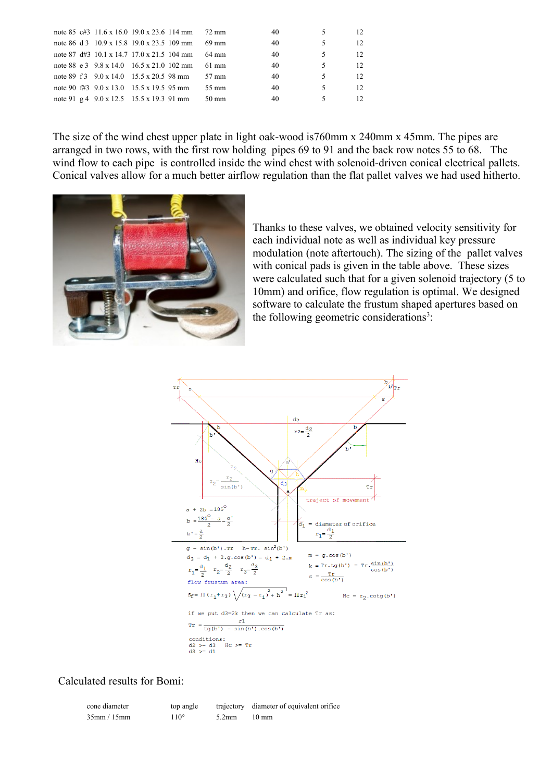| note 85 c#3 $11.6 \times 16.0$ 19.0 x 23.6 114 mm 72 mm |  |         | 40 |   |    |
|---------------------------------------------------------|--|---------|----|---|----|
| note 86 d 3 10.9 x 15.8 19.0 x 23.5 109 mm              |  | 69 mm   | 40 | 5 | 12 |
| note 87 d#3 10.1 x 14.7 17.0 x 21.5 104 mm              |  | 64 mm   | 40 | 5 | 12 |
| note 88 e 3 $9.8 \times 14.0$ 16.5 x 21.0 102 mm        |  | $61$ mm | 40 | 5 | 12 |
| note 89 f 3 9.0 x 14.0 15.5 x 20.5 98 mm                |  | 57 mm   | 40 | 5 | 12 |
| note 90 f#3 $9.0 \times 13.0$ 15.5 x 19.5 95 mm         |  | 55 mm   | 40 | 5 | 12 |
| note 91 g 4 $9.0 \times 12.5$ 15.5 x 19.3 91 mm         |  | 50 mm   | 40 |   |    |

The size of the wind chest upper plate in light oak-wood is760mm x 240mm x 45mm. The pipes are arranged in two rows, with the first row holding pipes 69 to 91 and the back row notes 55 to 68. The wind flow to each pipe is controlled inside the wind chest with solenoid-driven conical electrical pallets. Conical valves allow for a much better airflow regulation than the flat pallet valves we had used hitherto.



Thanks to these valves, we obtained velocity sensitivity for each individual note as well as individual key pressure modulation (note aftertouch). The sizing of the pallet valves with conical pads is given in the table above. These sizes were calculated such that for a given solenoid trajectory (5 to 10mm) and orifice, flow regulation is optimal. We designed software to calculate the frustum shaped apertures based on the following geometric considerations<sup>[3](#page-7-2)</sup>:



Calculated results for Bomi:

| cone diameter     | top angle   |          | trajectory diameter of equivalent orifice |
|-------------------|-------------|----------|-------------------------------------------|
| $35$ mm / $15$ mm | $110^\circ$ | $5.2$ mm | $10 \text{ mm}$                           |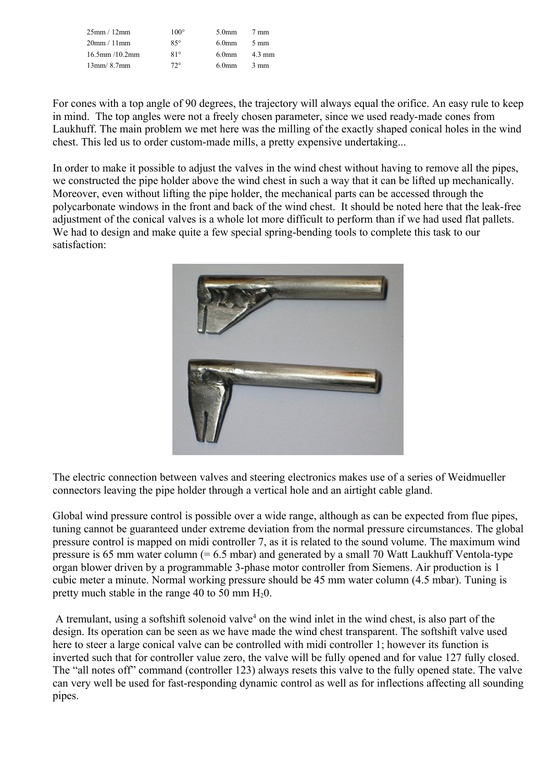| 25mm/12mm            | $100^{\circ}$ | 5.0 <sub>mm</sub> | $7 \text{ mm}$   |
|----------------------|---------------|-------------------|------------------|
| 20mm/11mm            | $85^\circ$    | 6.0 <sub>mm</sub> | $5 \text{ mm}$   |
| $16.5$ mm $/10.2$ mm | $81^\circ$    | 6.0 <sub>mm</sub> | $4.3 \text{ mm}$ |
| 13mm/8.7mm           | $72^{\circ}$  | 6.0 <sub>mm</sub> | $3 \text{ mm}$   |

For cones with a top angle of 90 degrees, the trajectory will always equal the orifice. An easy rule to keep in mind. The top angles were not a freely chosen parameter, since we used ready-made cones from Laukhuff. The main problem we met here was the milling of the exactly shaped conical holes in the wind chest. This led us to order custom-made mills, a pretty expensive undertaking...

In order to make it possible to adjust the valves in the wind chest without having to remove all the pipes, we constructed the pipe holder above the wind chest in such a way that it can be lifted up mechanically. Moreover, even without lifting the pipe holder, the mechanical parts can be accessed through the polycarbonate windows in the front and back of the wind chest. It should be noted here that the leak-free adjustment of the conical valves is a whole lot more difficult to perform than if we had used flat pallets. We had to design and make quite a few special spring-bending tools to complete this task to our satisfaction:



The electric connection between valves and steering electronics makes use of a series of Weidmueller connectors leaving the pipe holder through a vertical hole and an airtight cable gland.

Global wind pressure control is possible over a wide range, although as can be expected from flue pipes, tuning cannot be guaranteed under extreme deviation from the normal pressure circumstances. The global pressure control is mapped on midi controller 7, as it is related to the sound volume. The maximum wind pressure is 65 mm water column (= 6.5 mbar) and generated by a small 70 Watt Laukhuff Ventola-type organ blower driven by a programmable 3-phase motor controller from Siemens. Air production is 1 cubic meter a minute. Normal working pressure should be 45 mm water column (4.5 mbar). Tuning is pretty much stable in the range 40 to 50 mm  $H_2O$ .

A tremulant, using a softshift solenoid valve<sup>[4](#page-7-3)</sup> on the wind inlet in the wind chest, is also part of the design. Its operation can be seen as we have made the wind chest transparent. The softshift valve used here to steer a large conical valve can be controlled with midi controller 1; however its function is inverted such that for controller value zero, the valve will be fully opened and for value 127 fully closed. The "all notes off" command (controller 123) always resets this valve to the fully opened state. The valve can very well be used for fast-responding dynamic control as well as for inflections affecting all sounding pipes.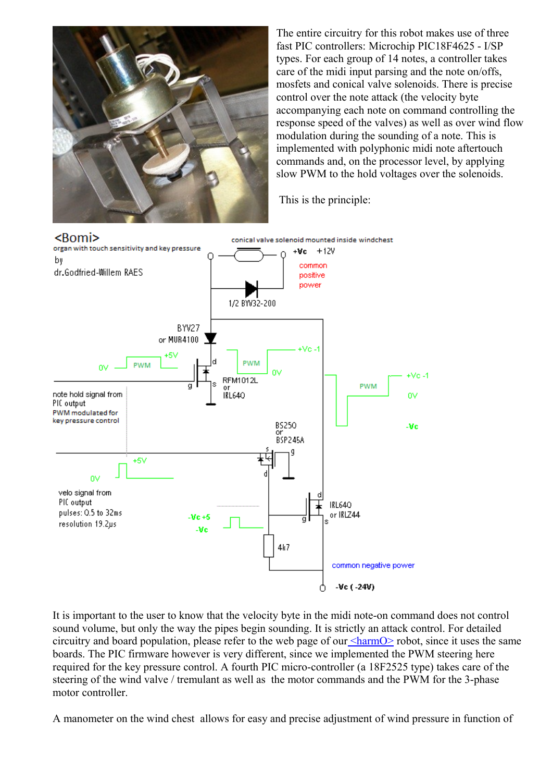

The entire circuitry for this robot makes use of three fast PIC controllers: Microchip PIC18F4625 - I/SP types. For each group of 14 notes, a controller takes care of the midi input parsing and the note on/offs, mosfets and conical valve solenoids. There is precise control over the note attack (the velocity byte accompanying each note on command controlling the response speed of the valves) as well as over wind flow modulation during the sounding of a note. This is implemented with polyphonic midi note aftertouch commands and, on the processor level, by applying slow PWM to the hold voltages over the solenoids.

This is the principle:



It is important to the user to know that the velocity byte in the midi note-on command does not control sound volume, but only the way the pipes begin sounding. It is strictly an attack control. For detailed circuitry and board population, please refer to the web page of our  $\leq$  harmO $\geq$  robot, since it uses the same boards. The PIC firmware however is very different, since we implemented the PWM steering here required for the key pressure control. A fourth PIC micro-controller (a 18F2525 type) takes care of the steering of the wind valve / tremulant as well as the motor commands and the PWM for the 3-phase motor controller.

A manometer on the wind chest allows for easy and precise adjustment of wind pressure in function of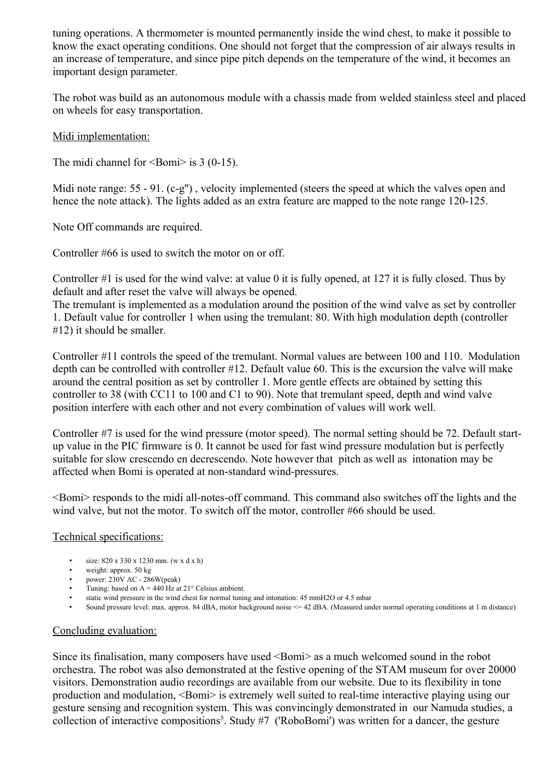tuning operations. A thermometer is mounted permanently inside the wind chest, to make it possible to know the exact operating conditions. One should not forget that the compression of air always results in an increase of temperature, and since pipe pitch depends on the temperature of the wind, it becomes an important design parameter.

The robot was build as an autonomous module with a chassis made from welded stainless steel and placed on wheels for easy transportation.

## Midi implementation:

The midi channel for  $\le$ Bomi $>$  is 3 (0-15).

Midi note range: 55 - 91. (c-g"), velocity implemented (steers the speed at which the valves open and hence the note attack). The lights added as an extra feature are mapped to the note range 120-125.

Note Off commands are required.

Controller #66 is used to switch the motor on or off.

Controller #1 is used for the wind valve: at value 0 it is fully opened, at 127 it is fully closed. Thus by default and after reset the valve will always be opened.

The tremulant is implemented as a modulation around the position of the wind valve as set by controller 1. Default value for controller 1 when using the tremulant: 80. With high modulation depth (controller #12) it should be smaller.

Controller #11 controls the speed of the tremulant. Normal values are between 100 and 110. Modulation depth can be controlled with controller #12. Default value 60. This is the excursion the valve will make around the central position as set by controller 1. More gentle effects are obtained by setting this controller to 38 (with CC11 to 100 and C1 to 90). Note that tremulant speed, depth and wind valve position interfere with each other and not every combination of values will work well.

Controller #7 is used for the wind pressure (motor speed). The normal setting should be 72. Default startup value in the PIC firmware is 0. It cannot be used for fast wind pressure modulation but is perfectly suitable for slow crescendo en decrescendo. Note however that pitch as well as intonation may be affected when Bomi is operated at non-standard wind-pressures.

<Bomi> responds to the midi all-notes-off command. This command also switches off the lights and the wind valve, but not the motor. To switch off the motor, controller #66 should be used.

## Technical specifications:

- size: 820 x 330 x 1230 mm. (w x d x h)
- weight: approx. 50 kg
- power: 230V AC 286W(peak)
- Tuning: based on  $A = 440$  Hz at  $21^\circ$  Celsius ambient.
- static wind pressure in the wind chest for normal tuning and intonation: 45 mmH2O or 4.5 mbar
- Sound pressure level: max. approx. 84 dBA, motor background noise <= 42 dBA. (Measured under normal operating conditions at 1 m distance)

## Concluding evaluation:

Since its finalisation, many composers have used <Bomi> as a much welcomed sound in the robot orchestra. The robot was also demonstrated at the festive opening of the STAM museum for over 20000 visitors. Demonstration audio recordings are available from our website. Due to its flexibility in tone production and modulation, <Bomi> is extremely well suited to real-time interactive playing using our gesture sensing and recognition system. This was convincingly demonstrated in our Namuda studies, a collection of interactive compositions<sup>[5](#page-7-4)</sup>. Study #7 ('RoboBomi') was written for a dancer, the gesture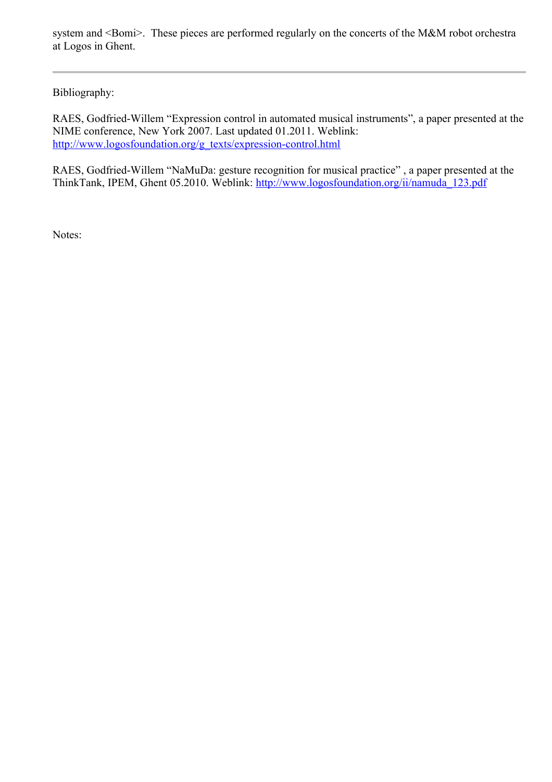system and <Bomi>. These pieces are performed regularly on the concerts of the M&M robot orchestra at Logos in Ghent.

Bibliography:

RAES, Godfried-Willem "Expression control in automated musical instruments", a paper presented at the NIME conference, New York 2007. Last updated 01.2011. Weblink: [http://www.logosfoundation.org/g\\_texts/expression-control.html](http://www.logosfoundation.org/g_texts/expression-control.html)

RAES, Godfried-Willem "NaMuDa: gesture recognition for musical practice" , a paper presented at the ThinkTank, IPEM, Ghent 05.2010. Weblink: [http://www.logosfoundation.org/ii/namuda\\_123.pdf](http://www.logosfoundation.org/ii/namuda_123.pdf)

Notes: